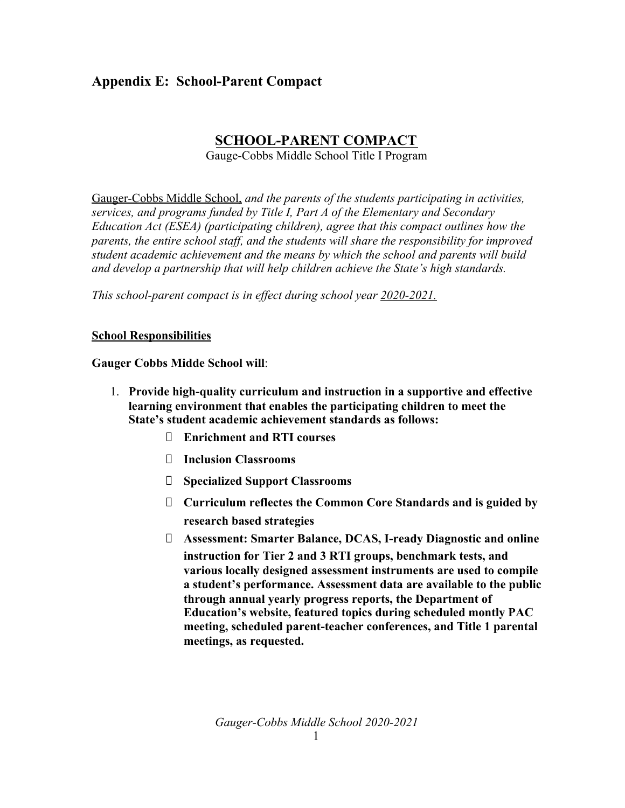# **Appendix E: School-Parent Compact**

## **SCHOOL-PARENT COMPACT**

Gauge-Cobbs Middle School Title I Program

Gauger-Cobbs Middle School, *and the parents of the students participating in activities, services, and programs funded by Title I, Part A of the Elementary and Secondary Education Act (ESEA) (participating children), agree that this compact outlines how the parents, the entire school staff, and the students will share the responsibility for improved student academic achievement and the means by which the school and parents will build and develop a partnership that will help children achieve the State's high standards.*

*This school-parent compact is in effect during school year 2020-2021.*

#### **School Responsibilities**

**Gauger Cobbs Midde School will**:

- 1. **Provide high-quality curriculum and instruction in a supportive and effective learning environment that enables the participating children to meet the State's student academic achievement standards as follows:**
	- **Enrichment and RTI courses**
	- **Inclusion Classrooms**
	- **Specialized Support Classrooms**
	- **Curriculum reflectes the Common Core Standards and is guided by research based strategies**
	- **Assessment: Smarter Balance, DCAS, I-ready Diagnostic and online instruction for Tier 2 and 3 RTI groups, benchmark tests, and various locally designed assessment instruments are used to compile a student's performance. Assessment data are available to the public through annual yearly progress reports, the Department of Education's website, featured topics during scheduled montly PAC meeting, scheduled parent-teacher conferences, and Title 1 parental meetings, as requested.**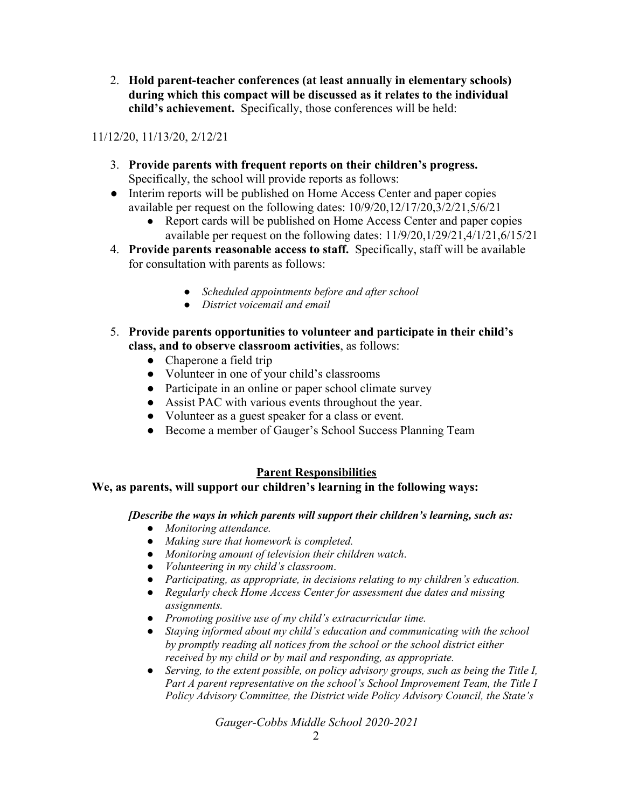2. **Hold parent-teacher conferences (at least annually in elementary schools) during which this compact will be discussed as it relates to the individual child's achievement.** Specifically, those conferences will be held:

11/12/20, 11/13/20, 2/12/21

- 3. **Provide parents with frequent reports on their children's progress.** Specifically, the school will provide reports as follows:
- Interim reports will be published on Home Access Center and paper copies available per request on the following dates: 10/9/20,12/17/20,3/2/21,5/6/21
	- Report cards will be published on Home Access Center and paper copies available per request on the following dates: 11/9/20,1/29/21,4/1/21,6/15/21
- 4. **Provide parents reasonable access to staff.** Specifically, staff will be available for consultation with parents as follows:
	- *Scheduled appointments before and after school*
	- *District voicemail and email*
- 5. **Provide parents opportunities to volunteer and participate in their child's class, and to observe classroom activities**, as follows:
	- Chaperone a field trip
	- Volunteer in one of your child's classrooms
	- Participate in an online or paper school climate survey
	- Assist PAC with various events throughout the year.
	- Volunteer as a guest speaker for a class or event.
	- Become a member of Gauger's School Success Planning Team

## **Parent Responsibilities**

#### **We, as parents, will support our children's learning in the following ways:**

#### *[Describe the ways in which parents will support their children's learning, such as:*

- *Monitoring attendance.*
- *Making sure that homework is completed.*
- *Monitoring amount of television their children watch*.
- *Volunteering in my child's classroom*.
- *Participating, as appropriate, in decisions relating to my children's education.*
- *Regularly check Home Access Center for assessment due dates and missing assignments.*
- *Promoting positive use of my child's extracurricular time.*
- *Staying informed about my child's education and communicating with the school by promptly reading all notices from the school or the school district either received by my child or by mail and responding, as appropriate.*
- *Serving, to the extent possible, on policy advisory groups, such as being the Title I, Part A parent representative on the school's School Improvement Team, the Title I Policy Advisory Committee, the District wide Policy Advisory Council, the State's*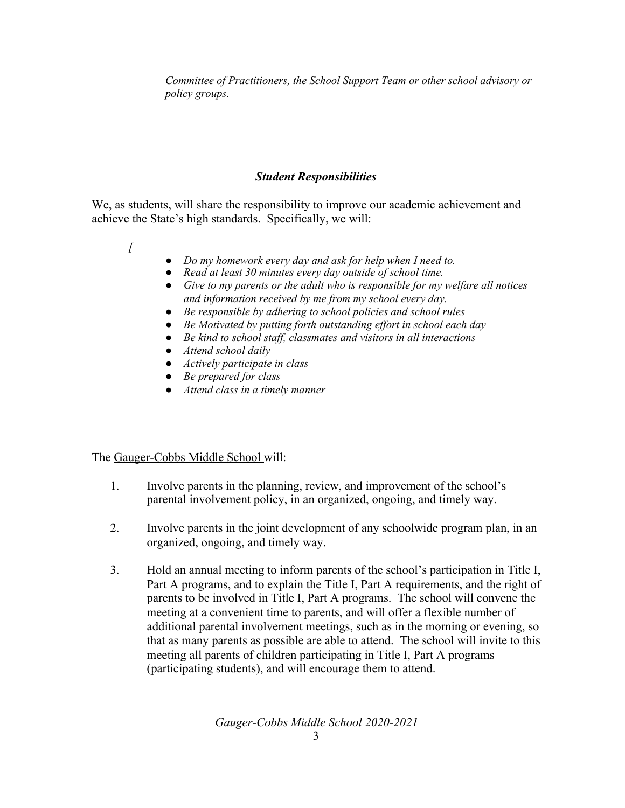*Committee of Practitioners, the School Support Team or other school advisory or policy groups.*

#### *Student Responsibilities*

We, as students, will share the responsibility to improve our academic achievement and achieve the State's high standards. Specifically, we will:

- *[*
- *Do my homework every day and ask for help when I need to.*
- *Read at least 30 minutes every day outside of school time.*
- *Give to my parents or the adult who is responsible for my welfare all notices and information received by me from my school every day.*
- *Be responsible by adhering to school policies and school rules*
- *Be Motivated by putting forth outstanding ef ort in school each day*
- *Be kind to school staf , classmates and visitors in all interactions*
- *Attend school daily*
- *Actively participate in class*
- *Be prepared for class*
- *Attend class in a timely manner*

The Gauger-Cobbs Middle School will:

- 1. Involve parents in the planning, review, and improvement of the school's parental involvement policy, in an organized, ongoing, and timely way.
- 2. Involve parents in the joint development of any schoolwide program plan, in an organized, ongoing, and timely way.
- 3. Hold an annual meeting to inform parents of the school's participation in Title I, Part A programs, and to explain the Title I, Part A requirements, and the right of parents to be involved in Title I, Part A programs. The school will convene the meeting at a convenient time to parents, and will offer a flexible number of additional parental involvement meetings, such as in the morning or evening, so that as many parents as possible are able to attend. The school will invite to this meeting all parents of children participating in Title I, Part A programs (participating students), and will encourage them to attend.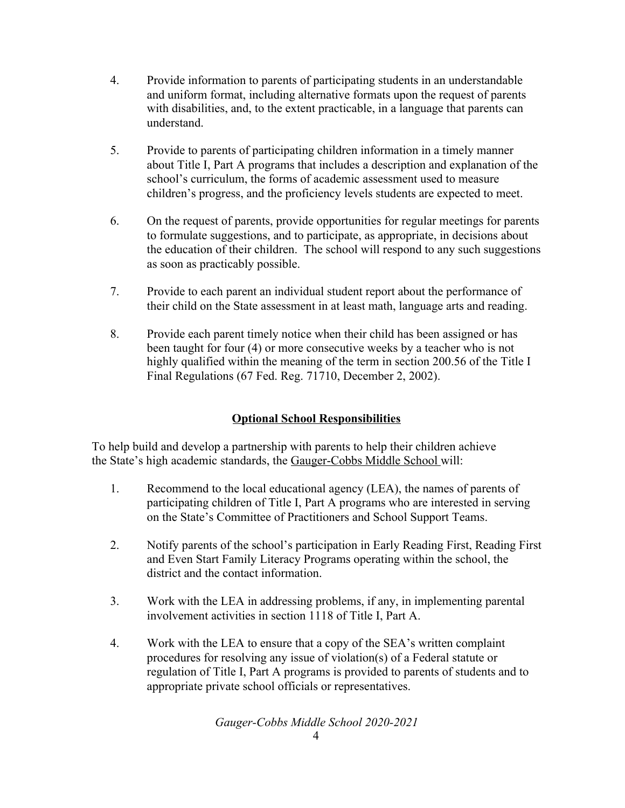- 4. Provide information to parents of participating students in an understandable and uniform format, including alternative formats upon the request of parents with disabilities, and, to the extent practicable, in a language that parents can understand.
- 5. Provide to parents of participating children information in a timely manner about Title I, Part A programs that includes a description and explanation of the school's curriculum, the forms of academic assessment used to measure children's progress, and the proficiency levels students are expected to meet.
- 6. On the request of parents, provide opportunities for regular meetings for parents to formulate suggestions, and to participate, as appropriate, in decisions about the education of their children. The school will respond to any such suggestions as soon as practicably possible.
- 7. Provide to each parent an individual student report about the performance of their child on the State assessment in at least math, language arts and reading.
- 8. Provide each parent timely notice when their child has been assigned or has been taught for four (4) or more consecutive weeks by a teacher who is not highly qualified within the meaning of the term in section 200.56 of the Title I Final Regulations (67 Fed. Reg. 71710, December 2, 2002).

## **Optional School Responsibilities**

To help build and develop a partnership with parents to help their children achieve the State's high academic standards, the Gauger-Cobbs Middle School will:

- 1. Recommend to the local educational agency (LEA), the names of parents of participating children of Title I, Part A programs who are interested in serving on the State's Committee of Practitioners and School Support Teams.
- 2. Notify parents of the school's participation in Early Reading First, Reading First and Even Start Family Literacy Programs operating within the school, the district and the contact information.
- 3. Work with the LEA in addressing problems, if any, in implementing parental involvement activities in section 1118 of Title I, Part A.
- 4. Work with the LEA to ensure that a copy of the SEA's written complaint procedures for resolving any issue of violation(s) of a Federal statute or regulation of Title I, Part A programs is provided to parents of students and to appropriate private school officials or representatives.